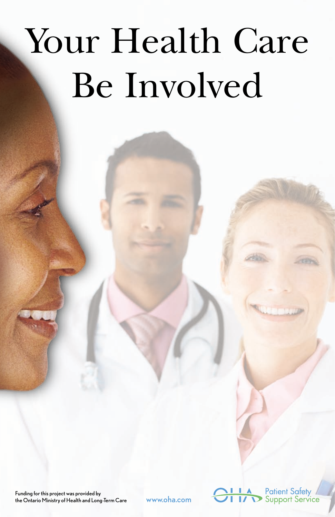# Your Health Care Be Involved

Funding for this project was provided by the Ontario Ministry of Health and Long-Term Care <www.oha.com>

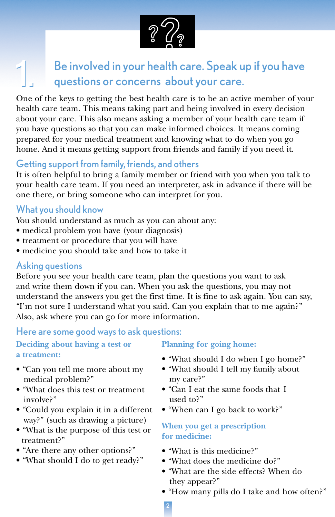

## $1.58$ e involved in your health care. Speak up if you have questions or concerns about your care.

One of the keys to getting the best health care is to be an active member of your health care team. This means taking part and being involved in every decision about your care. This also means asking a member of your health care team if you have questions so that you can make informed choices. It means coming prepared for your medical treatment and knowing what to do when you go home. And it means getting support from friends and family if you need it.

#### Getting support from family, friends, and others

It is often helpful to bring a family member or friend with you when you talk to your health care team. If you need an interpreter, ask in advance if there will be one there, or bring someone who can interpret for you.

#### What you should know

You should understand as much as you can about any:

- medical problem you have (your diagnosis)
- treatment or procedure that you will have
- medicine you should take and how to take it

#### Asking questions

Before you see your health care team, plan the questions you want to ask and write them down if you can. When you ask the questions, you may not understand the answers you get the first time. It is fine to ask again. You can say, "I'm not sure I understand what you said. Can you explain that to me again?" Also, ask where you can go for more information.

Here are some good ways to ask questions:

#### **Deciding about having a test or a treatment:**

- "Can you tell me more about my medical problem?"
- "What does this test or treatment involve?"
- "Could you explain it in a different way?" (such as drawing a picture)
- "What is the purpose of this test or treatment?"
- "Are there any other options?"
- "What should I do to get ready?"

#### **Planning for going home:**

- "What should I do when I go home?"
- "What should I tell my family about my care?"
- "Can I eat the same foods that I used to?"
- "When can I go back to work?"

#### **When you get a prescription for medicine:**

- "What is this medicine?"
- "What does the medicine do?"
- "What are the side effects? When do they appear?"
- "How many pills do I take and how often?"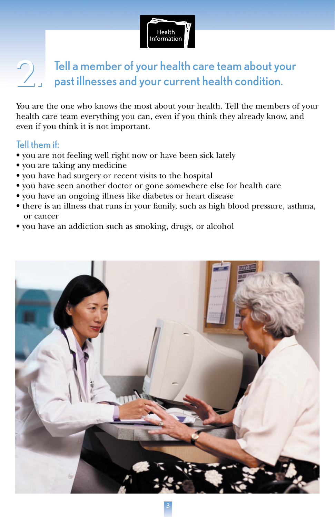

## Tell a member of your health care team about your past illnesses and your current health condition.

You are the one who knows the most about your health. Tell the members of your health care team everything you can, even if you think they already know, and even if you think it is not important.

#### Tell them if:

- you are not feeling well right now or have been sick lately
- you are taking any medicine
- you have had surgery or recent visits to the hospital
- you have seen another doctor or gone somewhere else for health care
- you have an ongoing illness like diabetes or heart disease
- there is an illness that runs in your family, such as high blood pressure, asthma, or cancer
- you have an addiction such as smoking, drugs, or alcohol

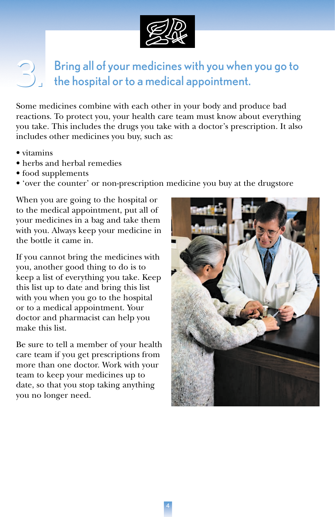

## $\text{3.3.5}$  Bring all of your medicines with you when you go to the hospital or to a medical appointment. the hospital or to a medical appointment.

Some medicines combine with each other in your body and produce bad reactions. To protect you, your health care team must know about everything you take. This includes the drugs you take with a doctor's prescription. It also includes other medicines you buy, such as:

- vitamins
- herbs and herbal remedies
- food supplements
- 'over the counter' or non-prescription medicine you buy at the drugstore

When you are going to the hospital or to the medical appointment, put all of your medicines in a bag and take them with you. Always keep your medicine in the bottle it came in.

If you cannot bring the medicines with you, another good thing to do is to keep a list of everything you take. Keep this list up to date and bring this list with you when you go to the hospital or to a medical appointment. Your doctor and pharmacist can help you make this list.

Be sure to tell a member of your health care team if you get prescriptions from more than one doctor. Work with your team to keep your medicines up to date, so that you stop taking anything you no longer need.

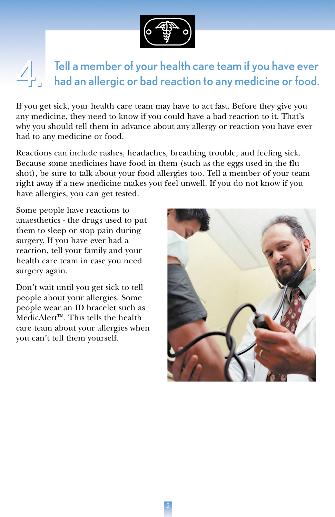

## Tell a member of your health care team if you have ever had an allergic or bad reaction to any medicine or food.

If you get sick, your health care team may have to act fast. Before they give you any medicine, they need to know if you could have a bad reaction to it. That's why you should tell them in advance about any allergy or reaction you have ever had to any medicine or food.

Reactions can include rashes, headaches, breathing trouble, and feeling sick. Because some medicines have food in them (such as the eggs used in the flu shot), be sure to talk about your food allergies too. Tell a member of your team right away if a new medicine makes you feel unwell. If you do not know if you have allergies, you can get tested.

Some people have reactions to anaesthetics - the drugs used to put them to sleep or stop pain during surgery. If you have ever had a reaction, tell your family and your health care team in case you need surgery again.

Don't wait until you get sick to tell people about your allergies. Some people wear an ID bracelet such as MedicAlert™. This tells the health care team about your allergies when you can't tell them yourself.

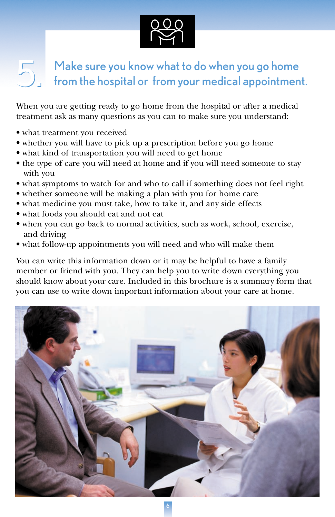

## $\sum_{n=1}^{\infty}$  Make sure you know what to do when you go home<br>from the hospital or from your medical appointment.

When you are getting ready to go home from the hospital or after a medical treatment ask as many questions as you can to make sure you understand:

- what treatment you received
- whether you will have to pick up a prescription before you go home
- what kind of transportation you will need to get home
- the type of care you will need at home and if you will need someone to stay with you
- what symptoms to watch for and who to call if something does not feel right
- whether someone will be making a plan with you for home care
- what medicine you must take, how to take it, and any side effects
- what foods you should eat and not eat
- when you can go back to normal activities, such as work, school, exercise, and driving
- what follow-up appointments you will need and who will make them

You can write this information down or it may be helpful to have a family member or friend with you. They can help you to write down everything you should know about your care. Included in this brochure is a summary form that you can use to write down important information about your care at home.

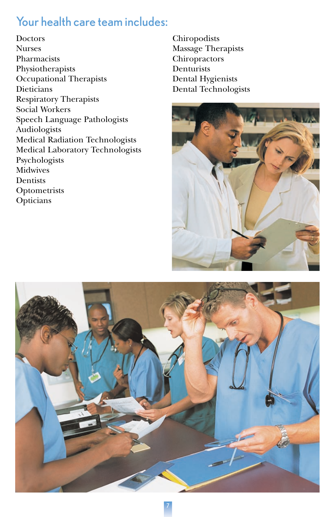## Your health care team includes:

**Doctors** Nurses Pharmacists Physiotherapists Occupational Therapists **Dieticians** Respiratory Therapists Social Workers Speech Language Pathologists Audiologists Medical Radiation Technologists Medical Laboratory Technologists Psychologists Midwives **Dentists Optometrists** Opticians

Chiropodists Massage Therapists Chiropractors **Denturists** Dental Hygienists Dental Technologists